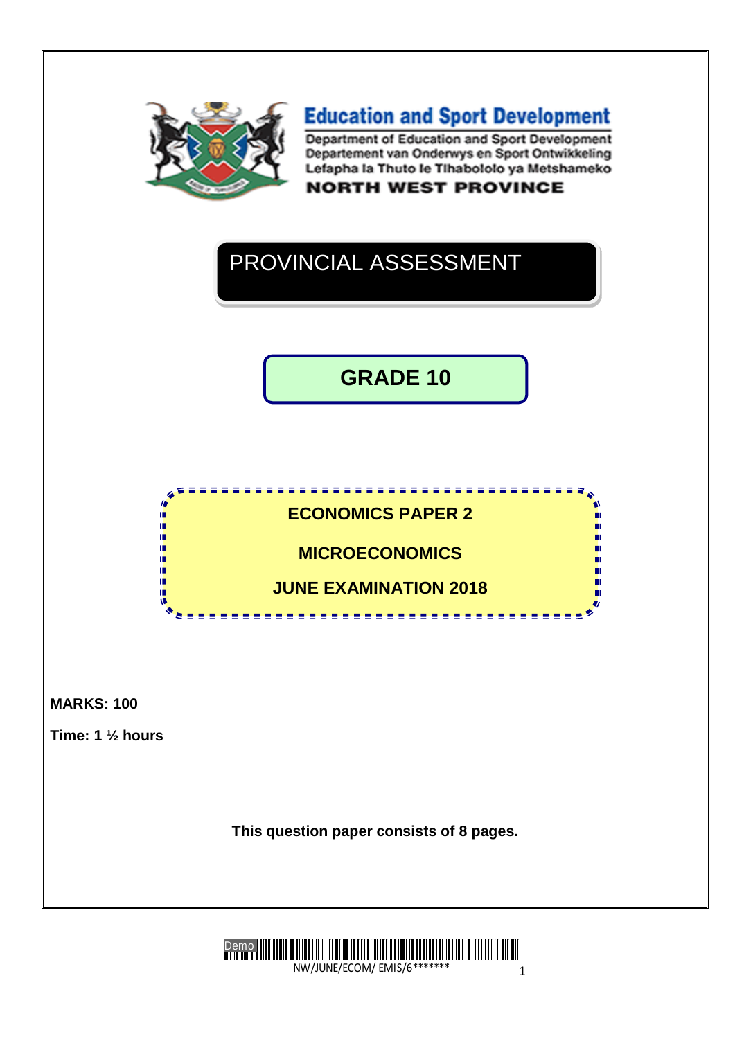

**Education and Sport Development** Department of Education and Sport Development Departement van Onderwys en Sport Ontwikkeling Lefapha la Thuto le Tihabololo ya Metshameko

**NORTH WEST PROVINCE** 

# PROVINCIAL ASSESSMENT

**GRADE 10**



**MARKS: 100** 

**Time: 1 ½ hours**

**This question paper consists of 8 pages.**

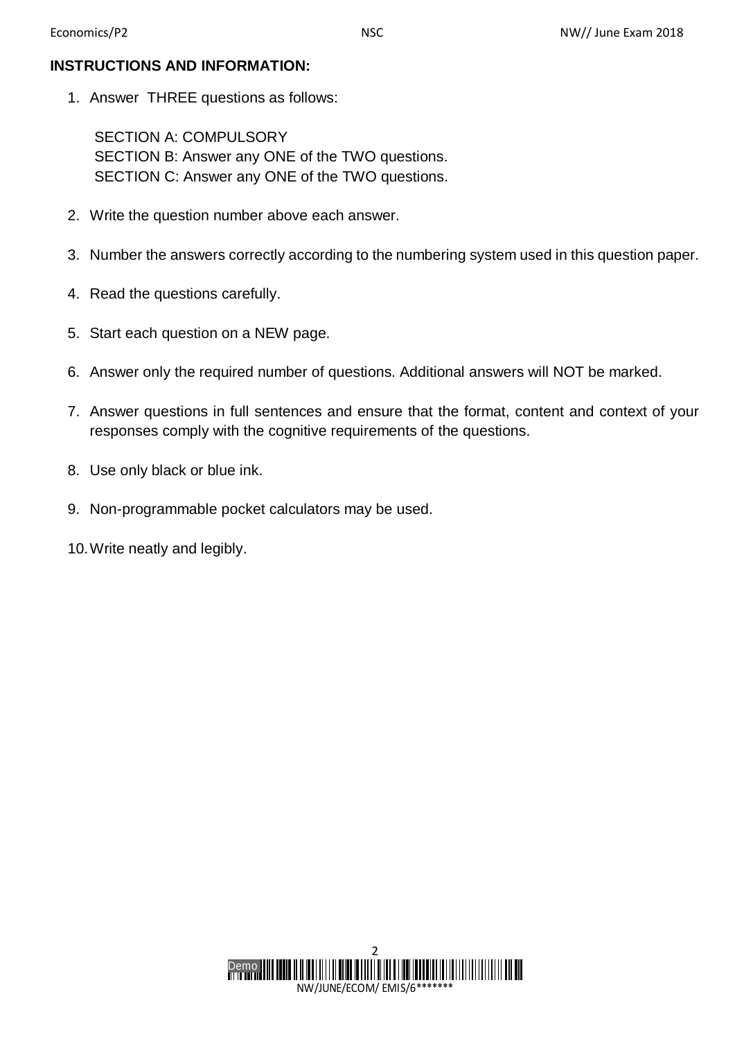## **INSTRUCTIONS AND INFORMATION:**

1. Answer THREE questions as follows:

SECTION A: COMPULSORY SECTION B: Answer any ONE of the TWO questions. SECTION C: Answer any ONE of the TWO questions.

- 2. Write the question number above each answer.
- 3. Number the answers correctly according to the numbering system used in this question paper.
- 4. Read the questions carefully.
- 5. Start each question on a NEW page.
- 6. Answer only the required number of questions. Additional answers will NOT be marked.
- 7. Answer questions in full sentences and ensure that the format, content and context of your responses comply with the cognitive requirements of the questions.
- 8. Use only black or blue ink.
- 9. Non-programmable pocket calculators may be used.
- 10.Write neatly and legibly.

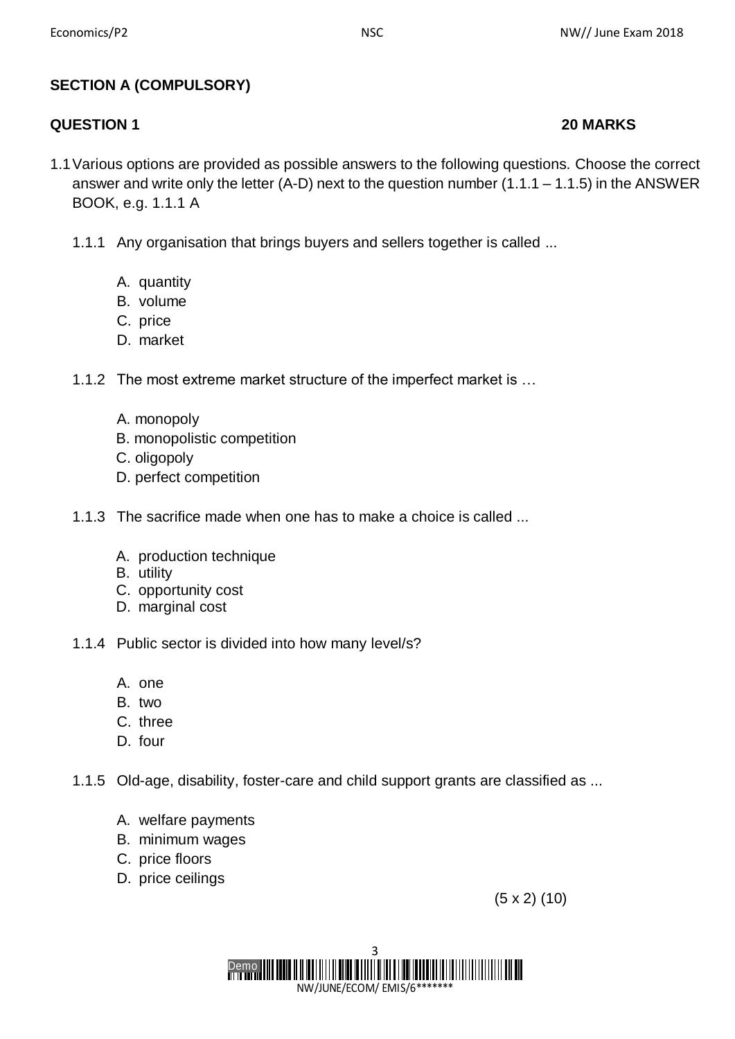## **SECTION A (COMPULSORY)**

## **QUESTION 1 20 MARKS**

- 1.1Various options are provided as possible answers to the following questions. Choose the correct answer and write only the letter (A-D) next to the question number  $(1.1.1 - 1.1.5)$  in the ANSWER BOOK, e.g. 1.1.1 A
	- 1.1.1 Any organisation that brings buyers and sellers together is called ...
		- A. quantity
		- B. volume
		- C. price
		- D. market
	- 1.1.2 The most extreme market structure of the imperfect market is …
		- A. monopoly
		- B. monopolistic competition
		- C. oligopoly
		- D. perfect competition
	- 1.1.3 The sacrifice made when one has to make a choice is called ...
		- A. production technique
		- B. utility
		- C. opportunity cost
		- D. marginal cost
	- 1.1.4 Public sector is divided into how many level/s?
		- A. one
		- B. two
		- C. three
		- D. four
	- 1.1.5 Old-age, disability, foster-care and child support grants are classified as ...
		- A. welfare payments
		- B. minimum wages
		- C. price floors
		- D. price ceilings

(5 x 2) (10)

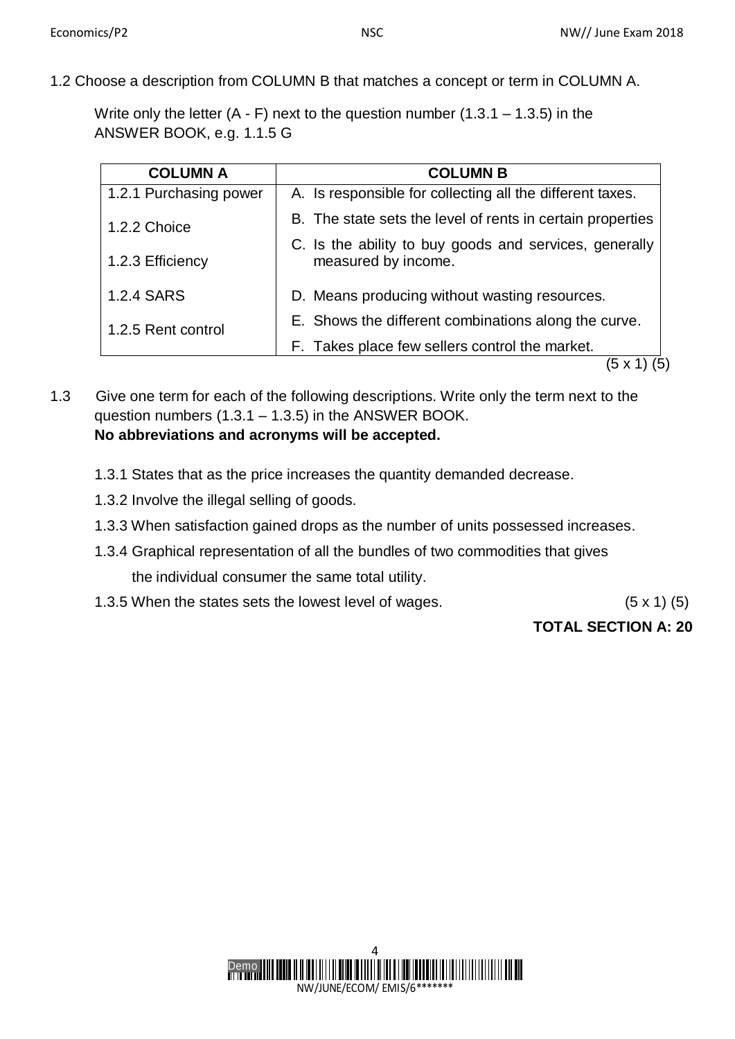1.2 Choose a description from COLUMN B that matches a concept or term in COLUMN A.

Write only the letter  $(A - F)$  next to the question number  $(1.3.1 - 1.3.5)$  in the ANSWER BOOK, e.g. 1.1.5 G

| <b>COLUMN A</b>        | <b>COLUMN B</b>                                                               |  |
|------------------------|-------------------------------------------------------------------------------|--|
| 1.2.1 Purchasing power | A. Is responsible for collecting all the different taxes.                     |  |
| 1.2.2 Choice           | B. The state sets the level of rents in certain properties                    |  |
|                        | C. Is the ability to buy goods and services, generally<br>measured by income. |  |
| 1.2.3 Efficiency       |                                                                               |  |
| 1.2.4 SARS             | D. Means producing without wasting resources.                                 |  |
| 1.2.5 Rent control     | E. Shows the different combinations along the curve.                          |  |
|                        | F. Takes place few sellers control the market.                                |  |
|                        | 5 x<br>5                                                                      |  |

1.3 Give one term for each of the following descriptions. Write only the term next to the question numbers  $(1.3.1 - 1.3.5)$  in the ANSWER BOOK. **No abbreviations and acronyms will be accepted.**

- 1.3.1 States that as the price increases the quantity demanded decrease.
- 1.3.2 Involve the illegal selling of goods.
- 1.3.3 When satisfaction gained drops as the number of units possessed increases.
- 1.3.4 Graphical representation of all the bundles of two commodities that gives the individual consumer the same total utility.
- 1.3.5 When the states sets the lowest level of wages. (5 x 1) (5)

## **TOTAL SECTION A: 20**

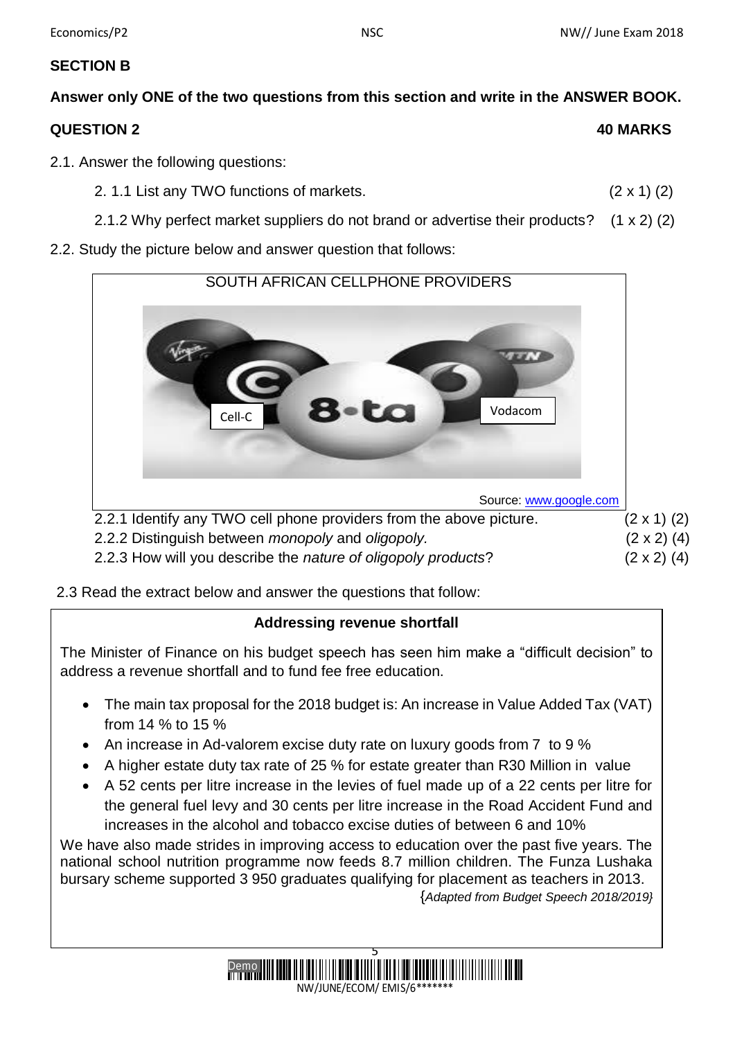## **SECTION B**

## **Answer only ONE of the two questions from this section and write in the ANSWER BOOK. QUESTION 2 40 MARKS**

- 2.1. Answer the following questions:
	- 2. 1.1 List any TWO functions of markets. (2 x 1) (2)
	- 2.1.2 Why perfect market suppliers do not brand or advertise their products? (1 x 2) (2)
- 2.2. Study the picture below and answer question that follows:



2.3 Read the extract below and answer the questions that follow:

## **Addressing revenue shortfall**

The Minister of Finance on his budget speech has seen him make a "difficult decision" to address a revenue shortfall and to fund fee free education.

- The main tax proposal for the 2018 budget is: An increase in Value Added Tax (VAT) from 14 % to 15 %
- An increase in Ad-valorem excise duty rate on luxury goods from 7 to 9 %
- A higher estate duty tax rate of 25 % for estate greater than R30 Million in value
- A 52 cents per litre increase in the levies of fuel made up of a 22 cents per litre for the general fuel levy and 30 cents per litre increase in the Road Accident Fund and increases in the alcohol and tobacco excise duties of between 6 and 10%

We have also made strides in improving access to education over the past five years. The national school nutrition programme now feeds 8.7 million children. The Funza Lushaka bursary scheme supported 3 950 graduates qualifying for placement as teachers in 2013. {*Adapted from Budget Speech 2018/2019}*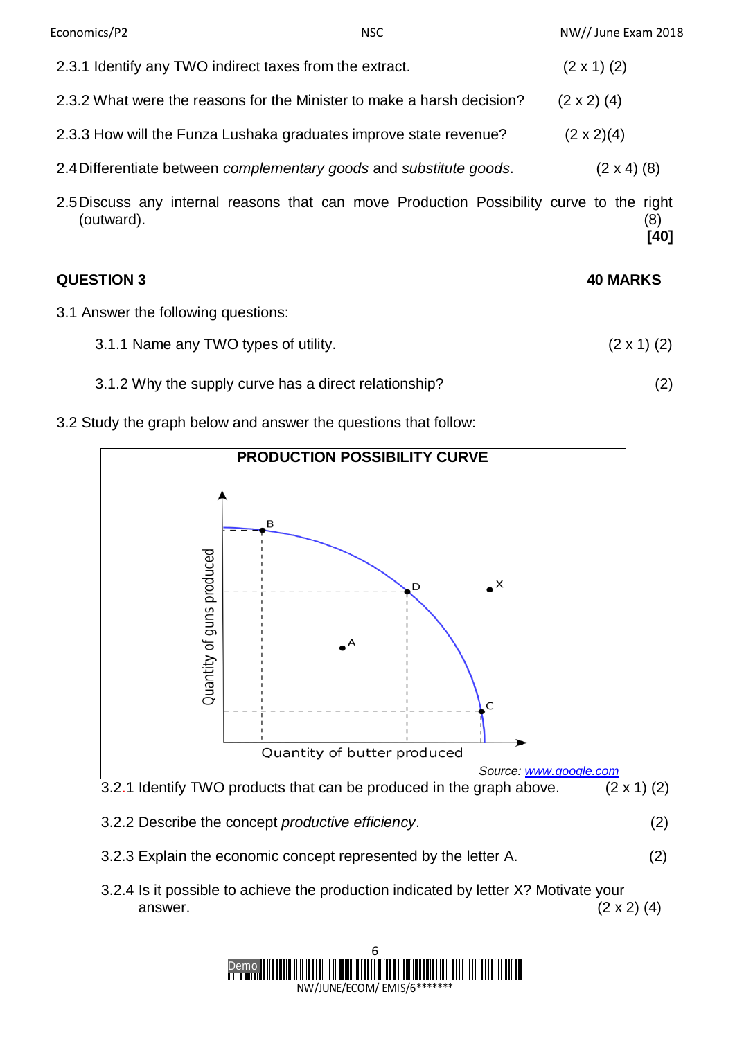| Economics/P2                                            | <b>NSC</b>                                                                               | NW// June Exam 2018 |
|---------------------------------------------------------|------------------------------------------------------------------------------------------|---------------------|
| 2.3.1 Identify any TWO indirect taxes from the extract. |                                                                                          | $(2 \times 1)$ (2)  |
|                                                         | 2.3.2 What were the reasons for the Minister to make a harsh decision?                   | $(2 \times 2)$ (4)  |
|                                                         | 2.3.3 How will the Funza Lushaka graduates improve state revenue?                        | $(2 \times 2)(4)$   |
|                                                         | 2.4 Differentiate between <i>complementary</i> goods and <i>substitute goods</i> .       | $(2 \times 4)$ (8)  |
| (outward).                                              | 2.5 Discuss any internal reasons that can move Production Possibility curve to the right | (8)                 |

**QUESTION 3 40 MARKS**

**[40]**

- 3.1 Answer the following questions:
	- 3.1.1 Name any TWO types of utility.  $(2 \times 1)$  (2)
	- 3.1.2 Why the supply curve has a direct relationship? (2)
- 3.2 Study the graph below and answer the questions that follow:



- 3.2.3 Explain the economic concept represented by the letter A. (2)
- 3.2.4 Is it possible to achieve the production indicated by letter X? Motivate your answer.  $(2 \times 2)$  (4)

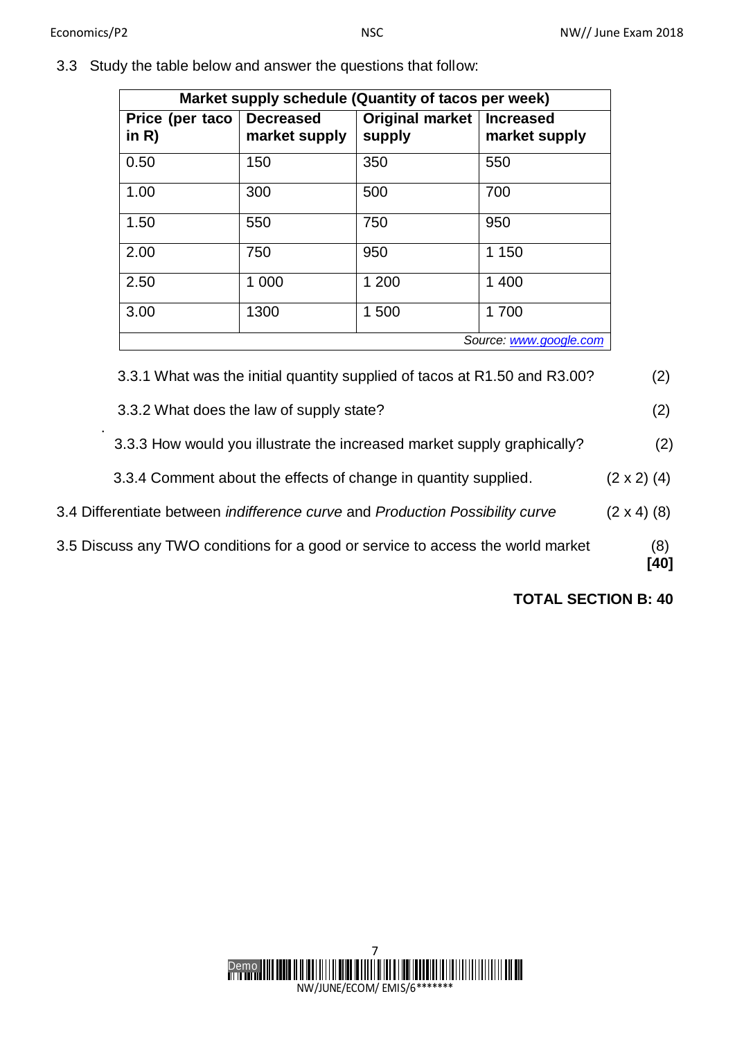3.3 Study the table below and answer the questions that follow:

| Market supply schedule (Quantity of tacos per week) |                                   |                                       |               |  |  |  |
|-----------------------------------------------------|-----------------------------------|---------------------------------------|---------------|--|--|--|
| Price (per taco<br>in $R$ )                         | <b>Decreased</b><br>market supply | Original market   Increased<br>supply | market supply |  |  |  |
| 0.50                                                | 150                               | 350                                   | 550           |  |  |  |
| 1.00                                                | 300                               | 500                                   | 700           |  |  |  |
| 1.50                                                | 550                               | 750                                   | 950           |  |  |  |
| 2.00                                                | 750                               | 950                                   | 1 150         |  |  |  |
| 2.50                                                | 1 000                             | 1 200                                 | 1 400         |  |  |  |
| 3.00                                                | 1300                              | 1500                                  | 1700          |  |  |  |
| Source: www.google.com                              |                                   |                                       |               |  |  |  |

3.3.1 What was the initial quantity supplied of tacos at R1.50 and R3.00? (2)

- 3.3.2 What does the law of supply state? (2)
- . 3.3.3 How would you illustrate the increased market supply graphically? (2)
	- 3.3.4 Comment about the effects of change in quantity supplied.  $(2 \times 2)$  (4)
- 3.4 Differentiate between *indifference curve* and *Production Possibility curve* (2 x 4) (8)
- 3.5 Discuss any TWO conditions for a good or service to access the world market (8)

 **[40]**

**TOTAL SECTION B: 40**